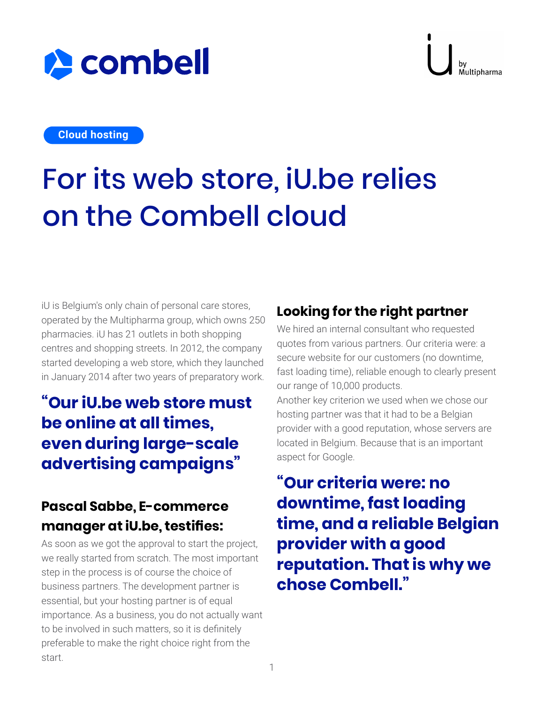

# **A** combell

**Cloud hosting**

# For its web store, iU.be relies on the Combell cloud

iU is Belgium's only chain of personal care stores, operated by the Multipharma group, which owns 250 pharmacies. iU has 21 outlets in both shopping centres and shopping streets. In 2012, the company started developing a web store, which they launched in January 2014 after two years of preparatory work.

## **"Our iU.be web store must be online at all times, even during large-scale advertising campaigns"**

#### **Pascal Sabbe, E-commerce manager at iU.be, testifies:**

As soon as we got the approval to start the project, we really started from scratch. The most important step in the process is of course the choice of business partners. The development partner is essential, but your hosting partner is of equal importance. As a business, you do not actually want to be involved in such matters, so it is definitely preferable to make the right choice right from the start.

#### **Looking for the right partner**

We hired an internal consultant who requested quotes from various partners. Our criteria were: a secure website for our customers (no downtime, fast loading time), reliable enough to clearly present our range of 10,000 products. Another key criterion we used when we chose our hosting partner was that it had to be a Belgian provider with a good reputation, whose servers are located in Belgium. Because that is an important

aspect for Google.

**"Our criteria were: no downtime, fast loading time, and a reliable Belgian provider with a good reputation. That is why we chose Combell."**